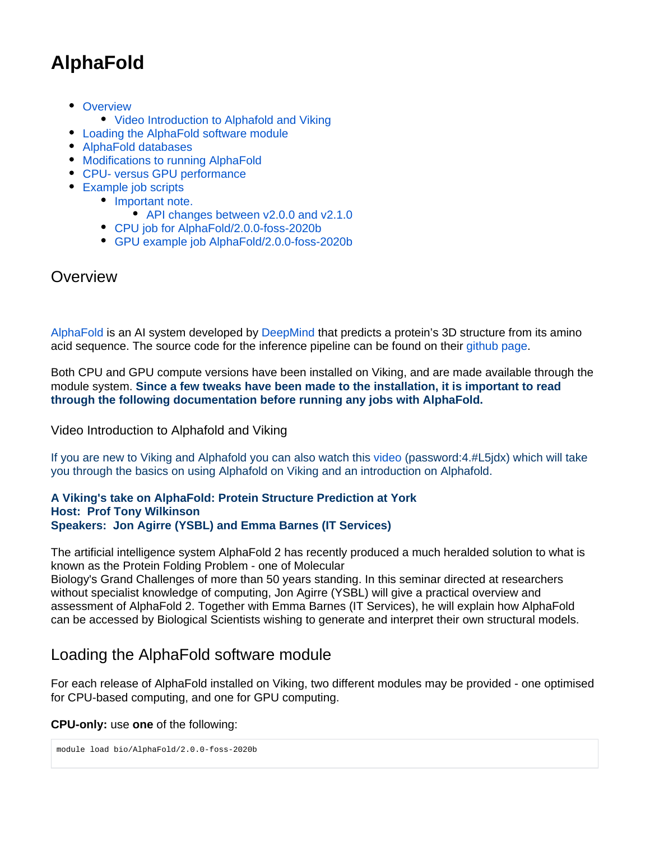# **AlphaFold**

- [Overview](#page-0-0)
	- [Video Introduction to Alphafold and Viking](#page-0-1)
- [Loading the AlphaFold software module](#page-0-2)
- [AlphaFold databases](#page-1-0)
- [Modifications to running AlphaFold](#page-1-1)
- [CPU- versus GPU performance](#page-1-2)
- [Example job scripts](#page-2-0)
	- [Important note.](#page-2-1)
		- [API changes between v2.0.0 and v2.1.0](#page-2-2)
	- [CPU job for AlphaFold/2.0.0-foss-2020b](#page-3-0)
	- [GPU example job AlphaFold/2.0.0-foss-2020b](#page-3-1)

## <span id="page-0-0"></span>**Overview**

[AlphaFold](https://deepmind.com/blog/article/putting-the-power-of-alphafold-into-the-worlds-hands) is an AI system developed by [DeepMind](https://deepmind.com/) that predicts a protein's 3D structure from its amino acid sequence. The source code for the inference pipeline can be found on their [github page.](https://github.com/deepmind/alphafold)

Both CPU and GPU compute versions have been installed on Viking, and are made available through the module system. **Since a few tweaks have been made to the installation, it is important to read through the following documentation before running any jobs with AlphaFold.**

<span id="page-0-1"></span>Video Introduction to Alphafold and Viking

If you are new to Viking and Alphafold you can also watch this [video](https://york-ac-uk.zoom.us/rec/share/y47XC02UyrmclV0NqObPxAbSVSsZotHEHMqljGunsovNROACYwc9WbnyiF6pRHpw.tc9PxnLWEzJBqksl) (password:4.#L5jdx) which will take you through the basics on using Alphafold on Viking and an introduction on Alphafold.

#### **A Viking's take on AlphaFold: Protein Structure Prediction at York Host: Prof Tony Wilkinson Speakers: Jon Agirre (YSBL) and Emma Barnes (IT Services)**

The artificial intelligence system AlphaFold 2 has recently produced a much heralded solution to what is known as the Protein Folding Problem - one of Molecular

Biology's Grand Challenges of more than 50 years standing. In this seminar directed at researchers without specialist knowledge of computing, Jon Agirre (YSBL) will give a practical overview and assessment of AlphaFold 2. Together with Emma Barnes (IT Services), he will explain how AlphaFold can be accessed by Biological Scientists wishing to generate and interpret their own structural models.

# <span id="page-0-2"></span>Loading the AlphaFold software module

For each release of AlphaFold installed on Viking, two different modules may be provided - one optimised for CPU-based computing, and one for GPU computing.

### **CPU-only:** use **one** of the following:

```
module load bio/AlphaFold/2.0.0-foss-2020b
```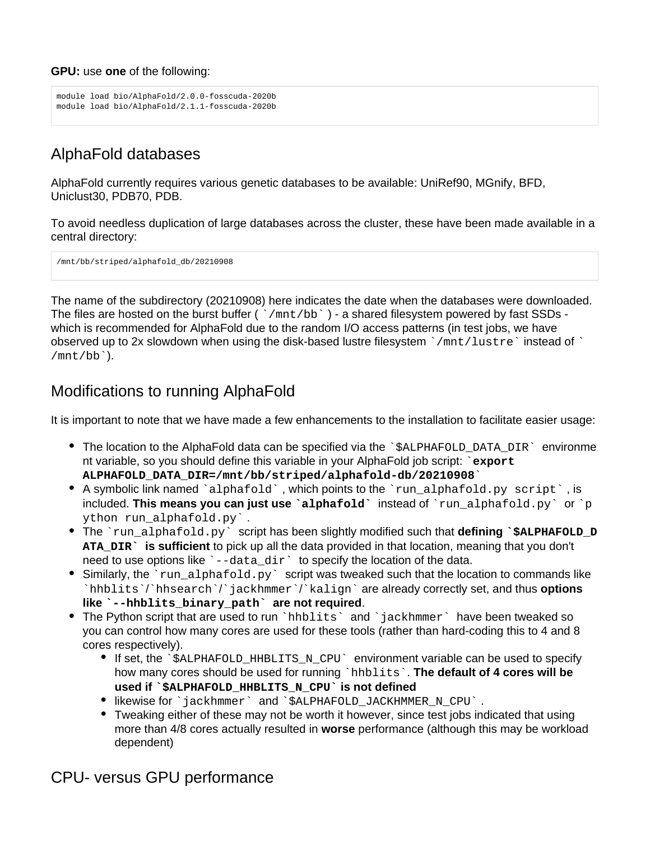#### **GPU:** use **one** of the following:

```
module load bio/AlphaFold/2.0.0-fosscuda-2020b
module load bio/AlphaFold/2.1.1-fosscuda-2020b
```
# <span id="page-1-0"></span>AlphaFold databases

AlphaFold currently requires various genetic databases to be available: UniRef90, MGnify, BFD, Uniclust30, PDB70, PDB.

To avoid needless duplication of large databases across the cluster, these have been made available in a central directory:

/mnt/bb/striped/alphafold\_db/20210908

The name of the subdirectory (20210908) here indicates the date when the databases were downloaded. The files are hosted on the burst buffer ( `/mnt/bb`) - a shared filesystem powered by fast SSDs which is recommended for AlphaFold due to the random I/O access patterns (in test jobs, we have observed up to 2x slowdown when using the disk-based lustre filesystem  $\gamma$ mnt/lustre instead of  $\gamma$ /mnt/bb`).

# <span id="page-1-1"></span>Modifications to running AlphaFold

It is important to note that we have made a few enhancements to the installation to facilitate easier usage:

- The location to the AlphaFold data can be specified via the  $\hat{\ }$  salphafold DATA DIR $\hat{\ }$  environme nt variable, so you should define this variable in your AlphaFold job script: `**export ALPHAFOLD\_DATA\_DIR=/mnt/bb/striped/alphafold-db/20210908**`
- $\bullet$  A symbolic link named `alphafold`, which points to the `run\_alphafold.py script`, is included. **This means you can just use `alphafold`** instead of `run\_alphafold.py` or `p ython run alphafold.py'.
- The `run\_alphafold.py` script has been slightly modified such that **defining `\$ALPHAFOLD\_D ATA\_DIR` is sufficient** to pick up all the data provided in that location, meaning that you don't need to use options like `--data\_dir` to specify the location of the data.
- Similarly, the `run\_alphafold.py` script was tweaked such that the location to commands like `hhblits`/`hhsearch`/`jackhmmer`/`kalign` are already correctly set, and thus **options like `--hhblits\_binary\_path` are not required**.
- The Python script that are used to run `hhblits` and `jackhmmer` have been tweaked so you can control how many cores are used for these tools (rather than hard-coding this to 4 and 8 cores respectively).
	- If set, the `\$ALPHAFOLD\_HHBLITS\_N\_CPU` environment variable can be used to specify how many cores should be used for running `hhblits`. The default of 4 cores will be **used if `\$ALPHAFOLD\_HHBLITS\_N\_CPU` is not defined**
	- likewise for `jackhmmer` and `\$ALPHAFOLD\_JACKHMMER\_N\_CPU` .
	- Tweaking either of these may not be worth it however, since test jobs indicated that using more than 4/8 cores actually resulted in **worse** performance (although this may be workload dependent)

<span id="page-1-2"></span>CPU- versus GPU performance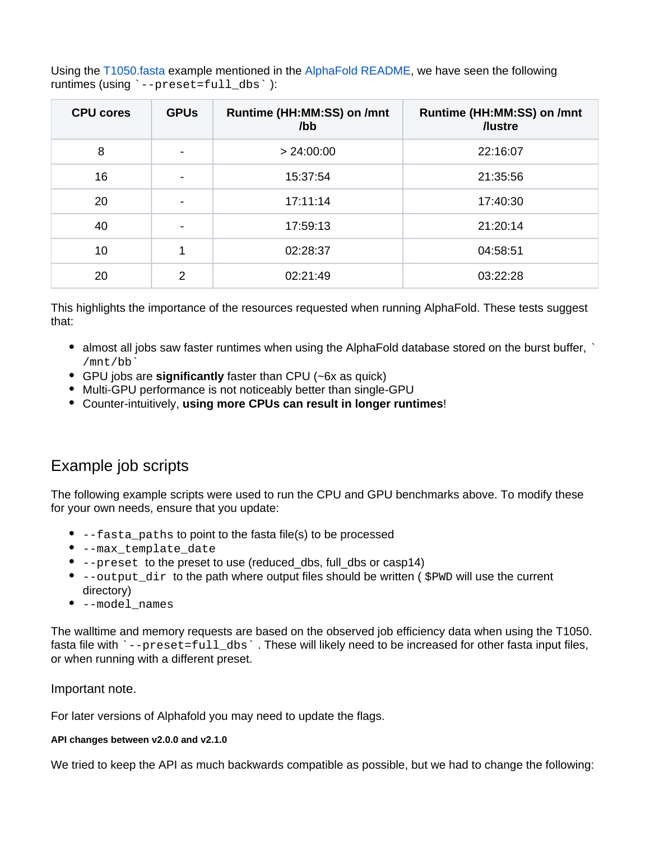Using the [T1050.fasta](https://www.predictioncenter.org/casp14/target.cgi?target=T1050&view=sequence) example mentioned in the [AlphaFold README](https://github.com/deepmind/alphafold/blob/main/README.md), we have seen the following runtimes (using `--preset=full\_dbs` ):

| <b>CPU cores</b> | <b>GPUs</b> | Runtime (HH:MM:SS) on /mnt<br>$\sqrt{b}$ | Runtime (HH:MM:SS) on /mnt<br>/lustre |
|------------------|-------------|------------------------------------------|---------------------------------------|
| 8                | -           | > 24:00:00                               | 22:16:07                              |
| 16               |             | 15:37:54                                 | 21:35:56                              |
| 20               |             | 17:11:14                                 | 17:40:30                              |
| 40               |             | 17:59:13                                 | 21:20:14                              |
| 10               |             | 02:28:37                                 | 04:58:51                              |
| 20               | 2           | 02:21:49                                 | 03:22:28                              |

This highlights the importance of the resources requested when running AlphaFold. These tests suggest that:

- $\bullet$  almost all jobs saw faster runtimes when using the AlphaFold database stored on the burst buffer,  $\cdot$ /mnt/bb`
- GPU jobs are **significantly** faster than CPU (~6x as quick)
- Multi-GPU performance is not noticeably better than single-GPU
- Counter-intuitively, **using more CPUs can result in longer runtimes**!

# <span id="page-2-0"></span>Example job scripts

The following example scripts were used to run the CPU and GPU benchmarks above. To modify these for your own needs, ensure that you update:

- --fasta paths to point to the fasta file(s) to be processed
- --max\_template\_date
- --preset to the preset to use (reduced\_dbs, full\_dbs or casp14)
- $\bullet$  --output dir to the path where output files should be written (  $$PWD$  will use the current directory)
- --model\_names

The walltime and memory requests are based on the observed job efficiency data when using the T1050. fasta file with `--preset=full\_dbs`. These will likely need to be increased for other fasta input files, or when running with a different preset.

#### <span id="page-2-1"></span>Important note.

For later versions of Alphafold you may need to update the flags.

#### <span id="page-2-2"></span>**API changes between v2.0.0 and v2.1.0**

We tried to keep the API as much backwards compatible as possible, but we had to change the following: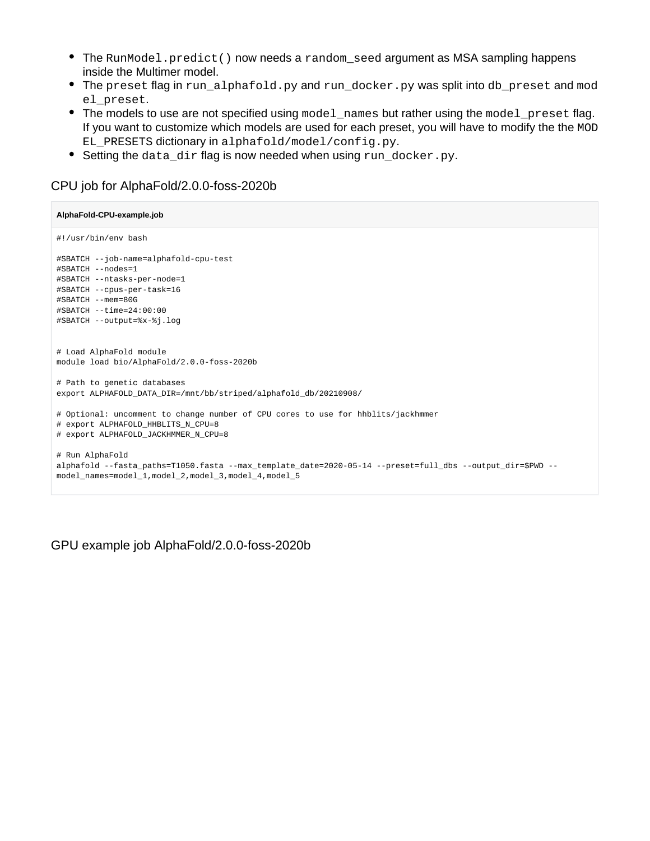- The RunModel.predict() now needs a random\_seed argument as MSA sampling happens inside the Multimer model.
- The preset flag in run\_alphafold.py and run\_docker.py was split into db\_preset and mod el\_preset.
- The models to use are not specified using model\_names but rather using the model\_preset flag. If you want to customize which models are used for each preset, you will have to modify the the MOD EL\_PRESETS dictionary in alphafold/model/config.py.
- Setting the data\_dir flag is now needed when using run\_docker.py.

### <span id="page-3-0"></span>CPU job for AlphaFold/2.0.0-foss-2020b

```
AlphaFold-CPU-example.job
#!/usr/bin/env bash
#SBATCH --job-name=alphafold-cpu-test
#SBATCH --nodes=1
#SBATCH --ntasks-per-node=1
#SBATCH --cpus-per-task=16
#SBATCH --mem=80G
#SBATCH --time=24:00:00
#SBATCH --output=%x-%j.log
# Load AlphaFold module
module load bio/AlphaFold/2.0.0-foss-2020b
# Path to genetic databases
export ALPHAFOLD_DATA_DIR=/mnt/bb/striped/alphafold_db/20210908/
# Optional: uncomment to change number of CPU cores to use for hhblits/jackhmmer
# export ALPHAFOLD_HHBLITS_N_CPU=8
# export ALPHAFOLD_JACKHMMER_N_CPU=8
# Run AlphaFold
alphafold --fasta_paths=T1050.fasta --max_template_date=2020-05-14 --preset=full_dbs --output_dir=$PWD --
model_names=model_1,model_2,model_3,model_4,model_5
```
<span id="page-3-1"></span>GPU example job AlphaFold/2.0.0-foss-2020b